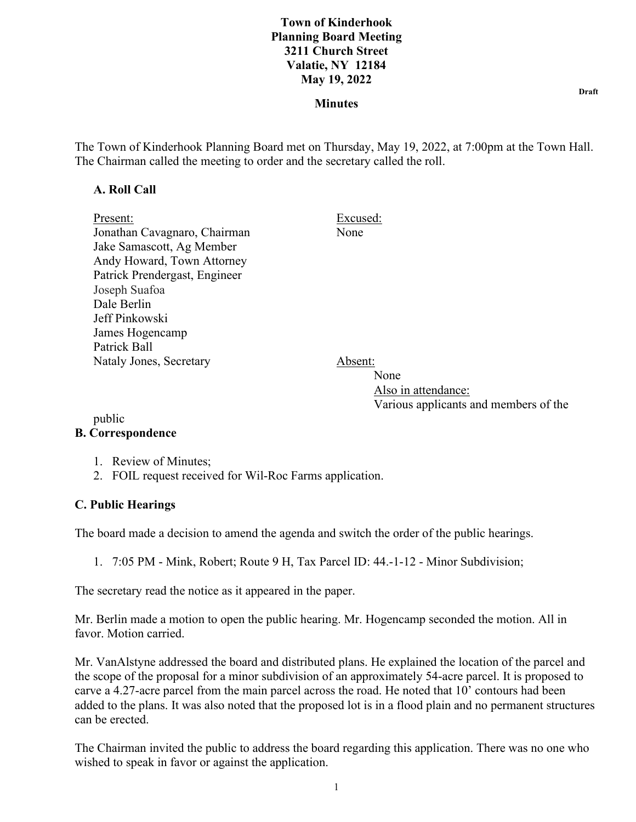#### **Minutes**

The Town of Kinderhook Planning Board met on Thursday, May 19, 2022, at 7:00pm at the Town Hall. The Chairman called the meeting to order and the secretary called the roll.

#### **A. Roll Call**

| Present:                      | Excused: |
|-------------------------------|----------|
| Jonathan Cavagnaro, Chairman  | None     |
| Jake Samascott, Ag Member     |          |
| Andy Howard, Town Attorney    |          |
| Patrick Prendergast, Engineer |          |
| Joseph Suafoa                 |          |
| Dale Berlin                   |          |
| Jeff Pinkowski                |          |
| James Hogencamp               |          |
| Patrick Ball                  |          |
| Nataly Jones, Secretary       | .bsent:  |

None None Also in attendance: Various applicants and members of the

#### public **B. Correspondence**

- 1. Review of Minutes;
- 2. FOIL request received for Wil-Roc Farms application.

## **C. Public Hearings**

The board made a decision to amend the agenda and switch the order of the public hearings.

1. 7:05 PM - Mink, Robert; Route 9 H, Tax Parcel ID: 44.-1-12 - Minor Subdivision;

The secretary read the notice as it appeared in the paper.

Mr. Berlin made a motion to open the public hearing. Mr. Hogencamp seconded the motion. All in favor. Motion carried.

Mr. VanAlstyne addressed the board and distributed plans. He explained the location of the parcel and the scope of the proposal for a minor subdivision of an approximately 54-acre parcel. It is proposed to carve a 4.27-acre parcel from the main parcel across the road. He noted that 10' contours had been added to the plans. It was also noted that the proposed lot is in a flood plain and no permanent structures can be erected.

The Chairman invited the public to address the board regarding this application. There was no one who wished to speak in favor or against the application.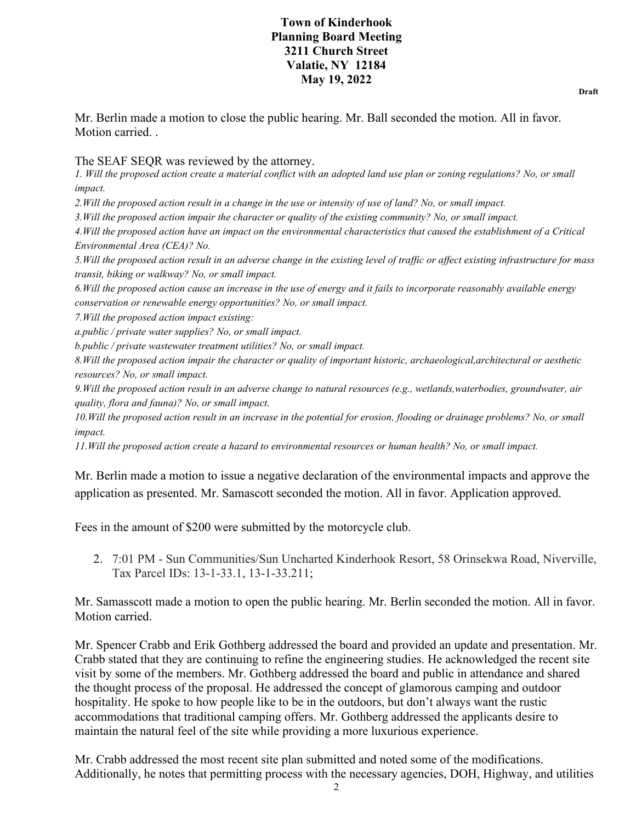Mr. Berlin made a motion to close the public hearing. Mr. Ball seconded the motion. All in favor. Motion carried. .

The SEAF SEOR was reviewed by the attorney.

*1. Will the proposed action create a material conflict with an adopted land use plan or zoning regulations? No, or small impact.*

*2.Will the proposed action result in a change in the use or intensity of use of land? No, or small impact.*

*3.Will the proposed action impair the character or quality of the existing community? No, or small impact.*

*4.Will the proposed action have an impact on the environmental characteristics that caused the establishment of a Critical Environmental Area (CEA)? No.*

*5.Will the proposed action result in an adverse change in the existing level of traffic or affect existing infrastructure for mass transit, biking or walkway? No, or small impact.*

*6.Will the proposed action cause an increase in the use of energy and it fails to incorporate reasonably available energy conservation or renewable energy opportunities? No, or small impact.*

*7.Will the proposed action impact existing:*

*a.public / private water supplies? No, or small impact.*

*b.public / private wastewater treatment utilities? No, or small impact.*

*8.Will the proposed action impair the character or quality of important historic, archaeological,architectural or aesthetic resources? No, or small impact.*

*9.Will the proposed action result in an adverse change to natural resources (e.g., wetlands,waterbodies, groundwater, air quality, flora and fauna)? No, or small impact.*

*10.Will the proposed action result in an increase in the potential for erosion, flooding or drainage problems? No, or small impact.*

*11.Will the proposed action create a hazard to environmental resources or human health? No, or small impact.*

Mr. Berlin made a motion to issue a negative declaration of the environmental impacts and approve the application as presented. Mr. Samascott seconded the motion. All in favor. Application approved.

Fees in the amount of \$200 were submitted by the motorcycle club.

2. 7:01 PM - Sun Communities/Sun Uncharted Kinderhook Resort, 58 Orinsekwa Road, Niverville, Tax Parcel IDs: 13-1-33.1, 13-1-33.211;

Mr. Samasscott made a motion to open the public hearing. Mr. Berlin seconded the motion. All in favor. Motion carried.

Mr. Spencer Crabb and Erik Gothberg addressed the board and provided an update and presentation. Mr. Crabb stated that they are continuing to refine the engineering studies. He acknowledged the recent site visit by some of the members. Mr. Gothberg addressed the board and public in attendance and shared the thought process of the proposal. He addressed the concept of glamorous camping and outdoor hospitality. He spoke to how people like to be in the outdoors, but don't always want the rustic accommodations that traditional camping offers. Mr. Gothberg addressed the applicants desire to maintain the natural feel of the site while providing a more luxurious experience.

Mr. Crabb addressed the most recent site plan submitted and noted some of the modifications. Additionally, he notes that permitting process with the necessary agencies, DOH, Highway, and utilities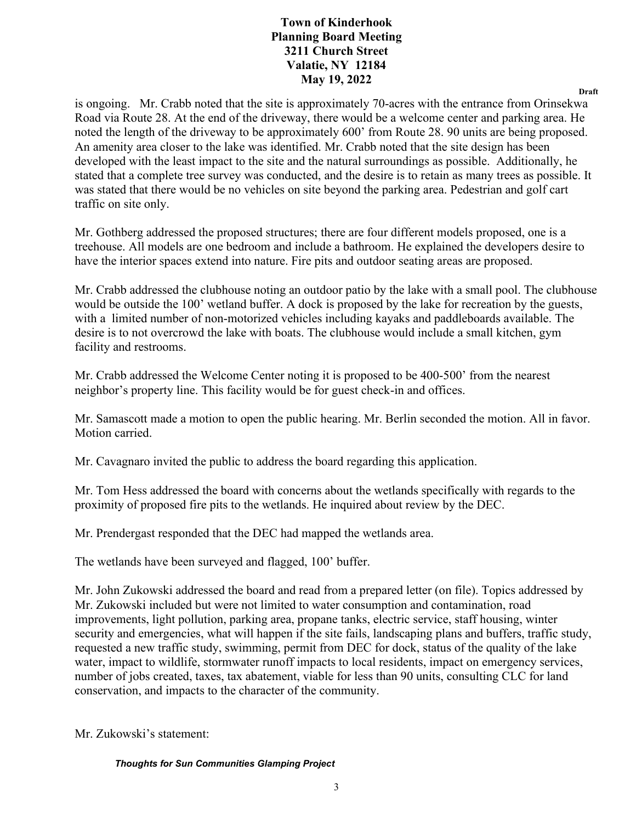**Draft**

is ongoing. Mr. Crabb noted that the site is approximately 70-acres with the entrance from Orinsekwa Road via Route 28. At the end of the driveway, there would be a welcome center and parking area. He noted the length of the driveway to be approximately 600' from Route 28. 90 units are being proposed. An amenity area closer to the lake was identified. Mr. Crabb noted that the site design has been developed with the least impact to the site and the natural surroundings as possible. Additionally, he stated that a complete tree survey was conducted, and the desire is to retain as many trees as possible. It was stated that there would be no vehicles on site beyond the parking area. Pedestrian and golf cart traffic on site only.

Mr. Gothberg addressed the proposed structures; there are four different models proposed, one is a treehouse. All models are one bedroom and include a bathroom. He explained the developers desire to have the interior spaces extend into nature. Fire pits and outdoor seating areas are proposed.

Mr. Crabb addressed the clubhouse noting an outdoor patio by the lake with a small pool. The clubhouse would be outside the 100' wetland buffer. A dock is proposed by the lake for recreation by the guests, with a limited number of non-motorized vehicles including kayaks and paddleboards available. The desire is to not overcrowd the lake with boats. The clubhouse would include a small kitchen, gym facility and restrooms.

Mr. Crabb addressed the Welcome Center noting it is proposed to be 400-500' from the nearest neighbor's property line. This facility would be for guest check-in and offices.

Mr. Samascott made a motion to open the public hearing. Mr. Berlin seconded the motion. All in favor. Motion carried.

Mr. Cavagnaro invited the public to address the board regarding this application.

Mr. Tom Hess addressed the board with concerns about the wetlands specifically with regards to the proximity of proposed fire pits to the wetlands. He inquired about review by the DEC.

Mr. Prendergast responded that the DEC had mapped the wetlands area.

The wetlands have been surveyed and flagged, 100' buffer.

Mr. John Zukowski addressed the board and read from a prepared letter (on file). Topics addressed by Mr. Zukowski included but were not limited to water consumption and contamination, road improvements, light pollution, parking area, propane tanks, electric service, staff housing, winter security and emergencies, what will happen if the site fails, landscaping plans and buffers, traffic study, requested a new traffic study, swimming, permit from DEC for dock, status of the quality of the lake water, impact to wildlife, stormwater runoff impacts to local residents, impact on emergency services, number of jobs created, taxes, tax abatement, viable for less than 90 units, consulting CLC for land conservation, and impacts to the character of the community.

Mr. Zukowski's statement:

*Thoughts for Sun Communities Glamping Project*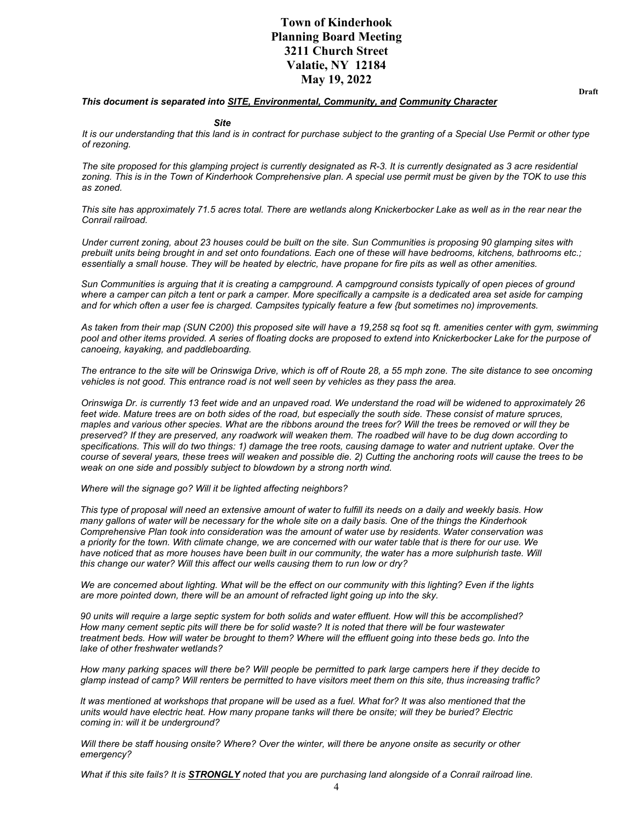#### *This document is separated into SITE, Environmental, Community, and Community Character*

#### *Site*

*It is our understanding that this land is in contract for purchase subject to the granting of a Special Use Permit or other type of rezoning.*

*The site proposed for this glamping project is currently designated as R-3. It is currently designated as 3 acre residential zoning. This is in the Town of Kinderhook Comprehensive plan. A special use permit must be given by the TOK to use this as zoned.*

*This site has approximately 71.5 acres total. There are wetlands along Knickerbocker Lake as well as in the rear near the Conrail railroad.*

*Under current zoning, about 23 houses could be built on the site. Sun Communities is proposing 90 glamping sites with prebuilt units being brought in and set onto foundations. Each one of these will have bedrooms, kitchens, bathrooms etc.; essentially a small house. They will be heated by electric, have propane for fire pits as well as other amenities.*

*Sun Communities is arguing that it is creating a campground. A campground consists typically of open pieces of ground where a camper can pitch a tent or park a camper. More specifically a campsite is a dedicated area set aside for camping and for which often a user fee is charged. Campsites typically feature a few {but sometimes no) improvements.*

*As taken from their map (SUN C200) this proposed site will have a 19,258 sq foot sq ft. amenities center with gym, swimming pool and other items provided. A series of floating docks are proposed to extend into Knickerbocker Lake for the purpose of canoeing, kayaking, and paddleboarding.*

*The entrance to the site will be Orinswiga Drive, which is off of Route 28, a 55 mph zone. The site distance to see oncoming vehicles is not good. This entrance road is not well seen by vehicles as they pass the area.*

*Orinswiga Dr. is currently 13 feet wide and an unpaved road. We understand the road will be widened to approximately 26*  feet wide. Mature trees are on both sides of the road, but especially the south side. These consist of mature spruces, *maples and various other species. What are the ribbons around the trees for? Will the trees be removed or will they be preserved? If they are preserved, any roadwork will weaken them. The roadbed will have to be dug down according to specifications. This will do two things: 1) damage the tree roots, causing damage to water and nutrient uptake. Over the course of several years, these trees will weaken and possible die. 2) Cutting the anchoring roots will cause the trees to be weak on one side and possibly subject to blowdown by a strong north wind.*

*Where will the signage go? Will it be lighted affecting neighbors?*

*This type of proposal will need an extensive amount of water to fulfill its needs on a daily and weekly basis. How many gallons of water will be necessary for the whole site on a daily basis. One of the things the Kinderhook Comprehensive Plan took into consideration was the amount of water use by residents. Water conservation was a priority for the town. With climate change, we are concerned with our water table that is there for our use. We*  have noticed that as more houses have been built in our community, the water has a more sulphurish taste. Will *this change our water? Will this affect our wells causing them to run low or dry?*

*We are concerned about lighting. What will be the effect on our community with this lighting? Even if the lights are more pointed down, there will be an amount of refracted light going up into the sky.*

*90 units will require a large septic system for both solids and water effluent. How will this be accomplished? How many cement septic pits will there be for solid waste? It is noted that there will be four wastewater treatment beds. How will water be brought to them? Where will the effluent going into these beds go. Into the lake of other freshwater wetlands?*

*How many parking spaces will there be? Will people be permitted to park large campers here if they decide to glamp instead of camp? Will renters be permitted to have visitors meet them on this site, thus increasing traffic?*

*It was mentioned at workshops that propane will be used as a fuel. What for? It was also mentioned that the units would have electric heat. How many propane tanks will there be onsite; will they be buried? Electric coming in: will it be underground?*

*Will there be staff housing onsite? Where? Over the winter, will there be anyone onsite as security or other emergency?*

*What if this site fails? It is STRONGLY noted that you are purchasing land alongside of a Conrail railroad line.*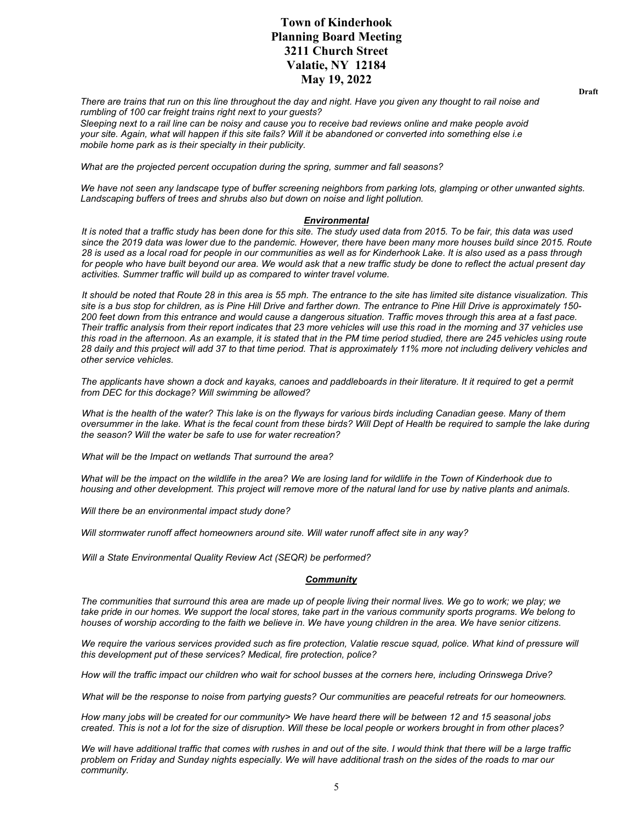*There are trains that run on this line throughout the day and night. Have you given any thought to rail noise and rumbling of 100 car freight trains right next to your guests?*

*Sleeping next to a rail line can be noisy and cause you to receive bad reviews online and make people avoid your site. Again, what will happen if this site fails? Will it be abandoned or converted into something else i.e mobile home park as is their specialty in their publicity.*

*What are the projected percent occupation during the spring, summer and fall seasons?*

*We have not seen any landscape type of buffer screening neighbors from parking lots, glamping or other unwanted sights. Landscaping buffers of trees and shrubs also but down on noise and light pollution.*

#### *Environmental*

*It is noted that a traffic study has been done for this site. The study used data from 2015. To be fair, this data was used since the 2019 data was lower due to the pandemic. However, there have been many more houses build since 2015. Route 28 is used as a local road for people in our communities as well as for Kinderhook Lake. It is also used as a pass through for people who have built beyond our area. We would ask that a new traffic study be done to reflect the actual present day activities. Summer traffic will build up as compared to winter travel volume.*

*It should be noted that Route 28 in this area is 55 mph. The entrance to the site has limited site distance visualization. This site is a bus stop for children, as is Pine Hill Drive and farther down. The entrance to Pine Hill Drive is approximately 150- 200 feet down from this entrance and would cause a dangerous situation. Traffic moves through this area at a fast pace. Their traffic analysis from their report indicates that 23 more vehicles will use this road in the morning and 37 vehicles use this road in the afternoon. As an example, it is stated that in the PM time period studied, there are 245 vehicles using route 28 daily and this project will add 37 to that time period. That is approximately 11% more not including delivery vehicles and other service vehicles.*

The applicants have shown a dock and kayaks, canoes and paddleboards in their literature. It it required to get a permit *from DEC for this dockage? Will swimming be allowed?*

*What is the health of the water? This lake is on the flyways for various birds including Canadian geese. Many of them oversummer in the lake. What is the fecal count from these birds? Will Dept of Health be required to sample the lake during the season? Will the water be safe to use for water recreation?*

*What will be the Impact on wetlands That surround the area?*

*What will be the impact on the wildlife in the area? We are losing land for wildlife in the Town of Kinderhook due to housing and other development. This project will remove more of the natural land for use by native plants and animals.*

*Will there be an environmental impact study done?*

*Will stormwater runoff affect homeowners around site. Will water runoff affect site in any way?*

*Will a State Environmental Quality Review Act (SEQR) be performed?*

#### *Community*

*The communities that surround this area are made up of people living their normal lives. We go to work; we play; we take pride in our homes. We support the local stores, take part in the various community sports programs. We belong to houses of worship according to the faith we believe in. We have young children in the area. We have senior citizens.*

We require the various services provided such as fire protection, Valatie rescue squad, police. What kind of pressure will *this development put of these services? Medical, fire protection, police?*

*How will the traffic impact our children who wait for school busses at the corners here, including Orinswega Drive?*

*What will be the response to noise from partying guests? Our communities are peaceful retreats for our homeowners.*

*How many jobs will be created for our community> We have heard there will be between 12 and 15 seasonal jobs created. This is not a lot for the size of disruption. Will these be local people or workers brought in from other places?*

*We will have additional traffic that comes with rushes in and out of the site. I would think that there will be a large traffic problem on Friday and Sunday nights especially. We will have additional trash on the sides of the roads to mar our community.*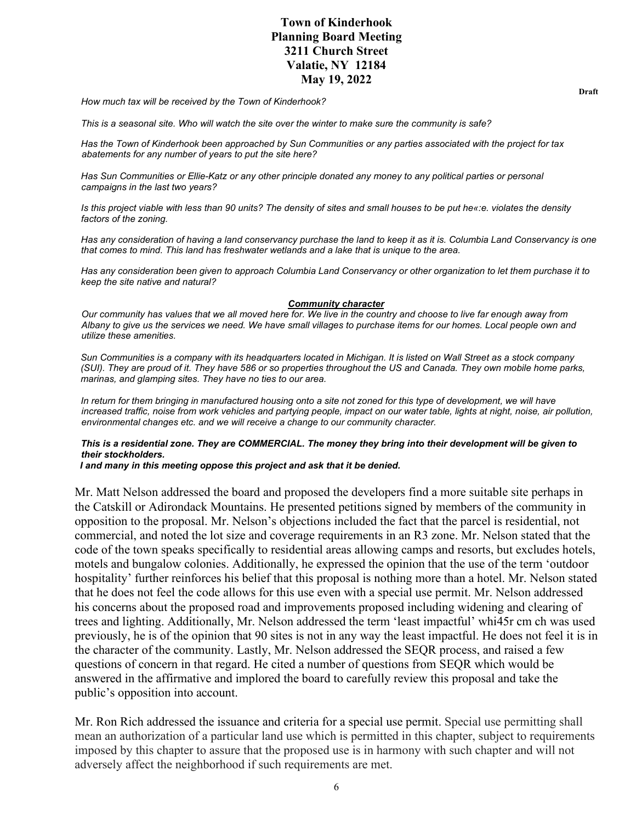*How much tax will be received by the Town of Kinderhook?*

*This is a seasonal site. Who will watch the site over the winter to make sure the community is safe?*

*Has the Town of Kinderhook been approached by Sun Communities or any parties associated with the project for tax abatements for any number of years to put the site here?*

*Has Sun Communities or Ellie-Katz or any other principle donated any money to any political parties or personal campaigns in the last two years?*

*Is this project viable with less than 90 units? The density of sites and small houses to be put he«:e. violates the density factors of the zoning.*

*Has any consideration of having a land conservancy purchase the land to keep it as it is. Columbia Land Conservancy is one that comes to mind. This land has freshwater wetlands and a lake that is unique to the area.*

*Has any consideration been given to approach Columbia Land Conservancy or other organization to let them purchase it to keep the site native and natural?*

#### *Community character*

*Our community has values that we all moved here for. We live in the country and choose to live far enough away from Albany to give us the services we need. We have small villages to purchase items for our homes. Local people own and utilize these amenities.*

*Sun Communities is a company with its headquarters located in Michigan. It is listed on Wall Street as a stock company (SUI). They are proud of it. They have 586 or so properties throughout the US and Canada. They own mobile home parks, marinas, and glamping sites. They have no ties to our area.*

In return for them bringing in manufactured housing onto a site not zoned for this type of development, we will have *increased traffic, noise from work vehicles and partying people, impact on our water table, lights at night, noise, air pollution, environmental changes etc. and we will receive a change to our community character.*

#### *This is a residential zone. They are COMMERCIAL. The money they bring into their development will be given to their stockholders.*

 *I and many in this meeting oppose this project and ask that it be denied.*

Mr. Matt Nelson addressed the board and proposed the developers find a more suitable site perhaps in the Catskill or Adirondack Mountains. He presented petitions signed by members of the community in opposition to the proposal. Mr. Nelson's objections included the fact that the parcel is residential, not commercial, and noted the lot size and coverage requirements in an R3 zone. Mr. Nelson stated that the code of the town speaks specifically to residential areas allowing camps and resorts, but excludes hotels, motels and bungalow colonies. Additionally, he expressed the opinion that the use of the term 'outdoor hospitality' further reinforces his belief that this proposal is nothing more than a hotel. Mr. Nelson stated that he does not feel the code allows for this use even with a special use permit. Mr. Nelson addressed his concerns about the proposed road and improvements proposed including widening and clearing of trees and lighting. Additionally, Mr. Nelson addressed the term 'least impactful' whi45r cm ch was used previously, he is of the opinion that 90 sites is not in any way the least impactful. He does not feel it is in the character of the community. Lastly, Mr. Nelson addressed the SEQR process, and raised a few questions of concern in that regard. He cited a number of questions from SEQR which would be answered in the affirmative and implored the board to carefully review this proposal and take the public's opposition into account.

Mr. Ron Rich addressed the issuance and criteria for a special use permit. Special use permitting shall mean an authorization of a particular land use which is permitted in this chapter, subject to requirements imposed by this chapter to assure that the proposed use is in harmony with such chapter and will not adversely affect the neighborhood if such requirements are met.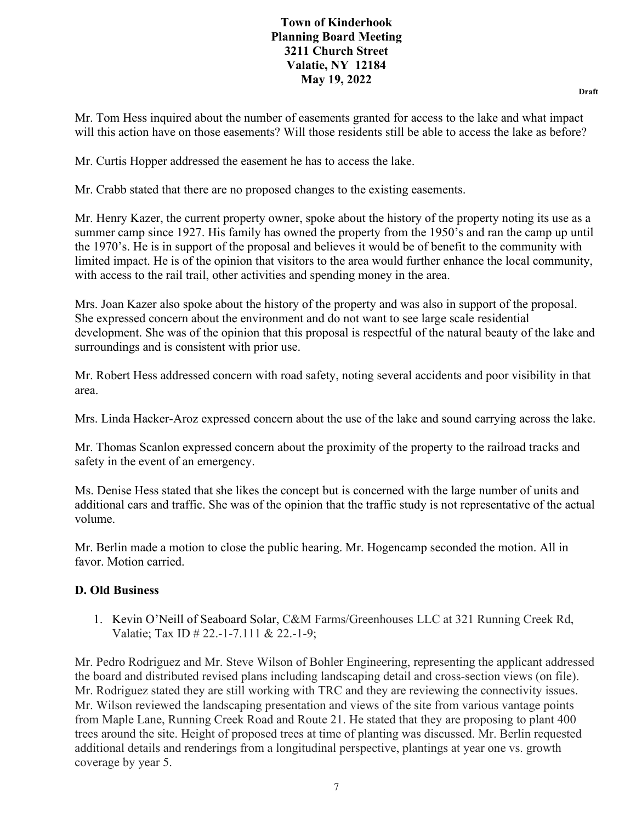**Draft**

Mr. Tom Hess inquired about the number of easements granted for access to the lake and what impact will this action have on those easements? Will those residents still be able to access the lake as before?

Mr. Curtis Hopper addressed the easement he has to access the lake.

Mr. Crabb stated that there are no proposed changes to the existing easements.

Mr. Henry Kazer, the current property owner, spoke about the history of the property noting its use as a summer camp since 1927. His family has owned the property from the 1950's and ran the camp up until the 1970's. He is in support of the proposal and believes it would be of benefit to the community with limited impact. He is of the opinion that visitors to the area would further enhance the local community, with access to the rail trail, other activities and spending money in the area.

Mrs. Joan Kazer also spoke about the history of the property and was also in support of the proposal. She expressed concern about the environment and do not want to see large scale residential development. She was of the opinion that this proposal is respectful of the natural beauty of the lake and surroundings and is consistent with prior use.

Mr. Robert Hess addressed concern with road safety, noting several accidents and poor visibility in that area.

Mrs. Linda Hacker-Aroz expressed concern about the use of the lake and sound carrying across the lake.

Mr. Thomas Scanlon expressed concern about the proximity of the property to the railroad tracks and safety in the event of an emergency.

Ms. Denise Hess stated that she likes the concept but is concerned with the large number of units and additional cars and traffic. She was of the opinion that the traffic study is not representative of the actual volume.

Mr. Berlin made a motion to close the public hearing. Mr. Hogencamp seconded the motion. All in favor. Motion carried.

## **D. Old Business**

1. Kevin O'Neill of Seaboard Solar, C&M Farms/Greenhouses LLC at 321 Running Creek Rd, Valatie; Tax ID # 22.-1-7.111 & 22.-1-9;

Mr. Pedro Rodriguez and Mr. Steve Wilson of Bohler Engineering, representing the applicant addressed the board and distributed revised plans including landscaping detail and cross-section views (on file). Mr. Rodriguez stated they are still working with TRC and they are reviewing the connectivity issues. Mr. Wilson reviewed the landscaping presentation and views of the site from various vantage points from Maple Lane, Running Creek Road and Route 21. He stated that they are proposing to plant 400 trees around the site. Height of proposed trees at time of planting was discussed. Mr. Berlin requested additional details and renderings from a longitudinal perspective, plantings at year one vs. growth coverage by year 5.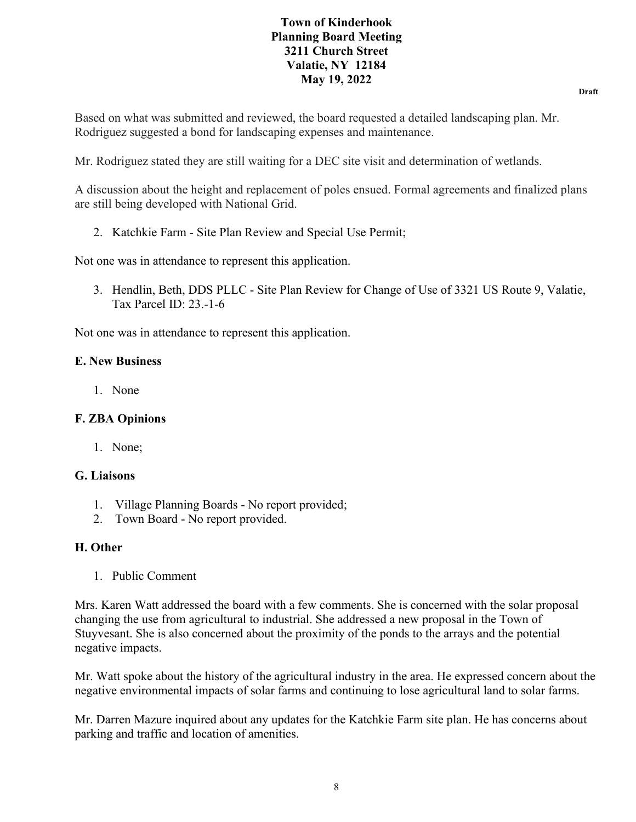**Draft**

Based on what was submitted and reviewed, the board requested a detailed landscaping plan. Mr. Rodriguez suggested a bond for landscaping expenses and maintenance.

Mr. Rodriguez stated they are still waiting for a DEC site visit and determination of wetlands.

A discussion about the height and replacement of poles ensued. Formal agreements and finalized plans are still being developed with National Grid.

2. Katchkie Farm - Site Plan Review and Special Use Permit;

Not one was in attendance to represent this application.

3. Hendlin, Beth, DDS PLLC - Site Plan Review for Change of Use of 3321 US Route 9, Valatie, Tax Parcel ID: 23.-1-6

Not one was in attendance to represent this application.

## **E. New Business**

1. None

## **F. ZBA Opinions**

1. None;

## **G. Liaisons**

- 1. Village Planning Boards No report provided;
- 2. Town Board No report provided.

## **H. Other**

1. Public Comment

Mrs. Karen Watt addressed the board with a few comments. She is concerned with the solar proposal changing the use from agricultural to industrial. She addressed a new proposal in the Town of Stuyvesant. She is also concerned about the proximity of the ponds to the arrays and the potential negative impacts.

Mr. Watt spoke about the history of the agricultural industry in the area. He expressed concern about the negative environmental impacts of solar farms and continuing to lose agricultural land to solar farms.

Mr. Darren Mazure inquired about any updates for the Katchkie Farm site plan. He has concerns about parking and traffic and location of amenities.